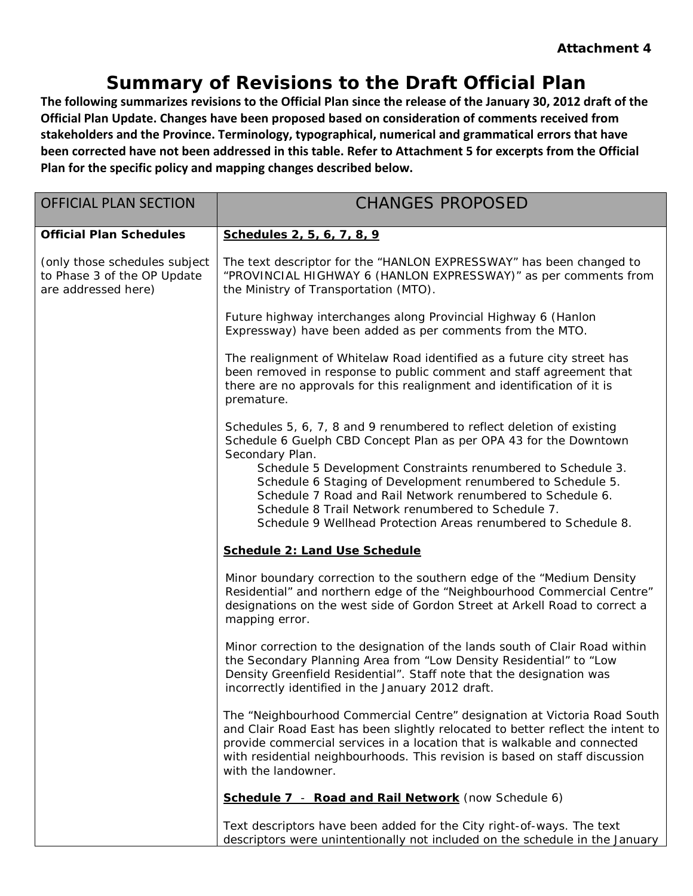### **Summary of Revisions to the Draft Official Plan**

**The following summarizes revisions to the Official Plan since the release of the January 30, 2012 draft of the Official Plan Update. Changes have been proposed based on consideration of comments received from stakeholders and the Province. Terminology, typographical, numerical and grammatical errors that have been corrected have not been addressed in this table. Refer to Attachment 5 for excerpts from the Official Plan for the specific policy and mapping changes described below.** 

| <b>OFFICIAL PLAN SECTION</b>                                                        | <b>CHANGES PROPOSED</b>                                                                                                                                                                                                                                                                                                                       |
|-------------------------------------------------------------------------------------|-----------------------------------------------------------------------------------------------------------------------------------------------------------------------------------------------------------------------------------------------------------------------------------------------------------------------------------------------|
| <b>Official Plan Schedules</b>                                                      | Schedules 2, 5, 6, 7, 8, 9                                                                                                                                                                                                                                                                                                                    |
| (only those schedules subject<br>to Phase 3 of the OP Update<br>are addressed here) | The text descriptor for the "HANLON EXPRESSWAY" has been changed to<br>"PROVINCIAL HIGHWAY 6 (HANLON EXPRESSWAY)" as per comments from<br>the Ministry of Transportation (MTO).                                                                                                                                                               |
|                                                                                     | Future highway interchanges along Provincial Highway 6 (Hanlon<br>Expressway) have been added as per comments from the MTO.                                                                                                                                                                                                                   |
|                                                                                     | The realignment of Whitelaw Road identified as a future city street has<br>been removed in response to public comment and staff agreement that<br>there are no approvals for this realignment and identification of it is<br>premature.                                                                                                       |
|                                                                                     | Schedules 5, 6, 7, 8 and 9 renumbered to reflect deletion of existing<br>Schedule 6 Guelph CBD Concept Plan as per OPA 43 for the Downtown<br>Secondary Plan.                                                                                                                                                                                 |
|                                                                                     | Schedule 5 Development Constraints renumbered to Schedule 3.<br>Schedule 6 Staging of Development renumbered to Schedule 5.<br>Schedule 7 Road and Rail Network renumbered to Schedule 6.<br>Schedule 8 Trail Network renumbered to Schedule 7.                                                                                               |
|                                                                                     | Schedule 9 Wellhead Protection Areas renumbered to Schedule 8.<br>Schedule 2: Land Use Schedule                                                                                                                                                                                                                                               |
|                                                                                     | Minor boundary correction to the southern edge of the "Medium Density<br>Residential" and northern edge of the "Neighbourhood Commercial Centre"<br>designations on the west side of Gordon Street at Arkell Road to correct a<br>mapping error.                                                                                              |
|                                                                                     | Minor correction to the designation of the lands south of Clair Road within<br>the Secondary Planning Area from "Low Density Residential" to "Low<br>Density Greenfield Residential". Staff note that the designation was<br>incorrectly identified in the January 2012 draft.                                                                |
|                                                                                     | The "Neighbourhood Commercial Centre" designation at Victoria Road South<br>and Clair Road East has been slightly relocated to better reflect the intent to<br>provide commercial services in a location that is walkable and connected<br>with residential neighbourhoods. This revision is based on staff discussion<br>with the landowner. |
|                                                                                     | Schedule 7 - Road and Rail Network (now Schedule 6)                                                                                                                                                                                                                                                                                           |
|                                                                                     | Text descriptors have been added for the City right-of-ways. The text<br>descriptors were unintentionally not included on the schedule in the January                                                                                                                                                                                         |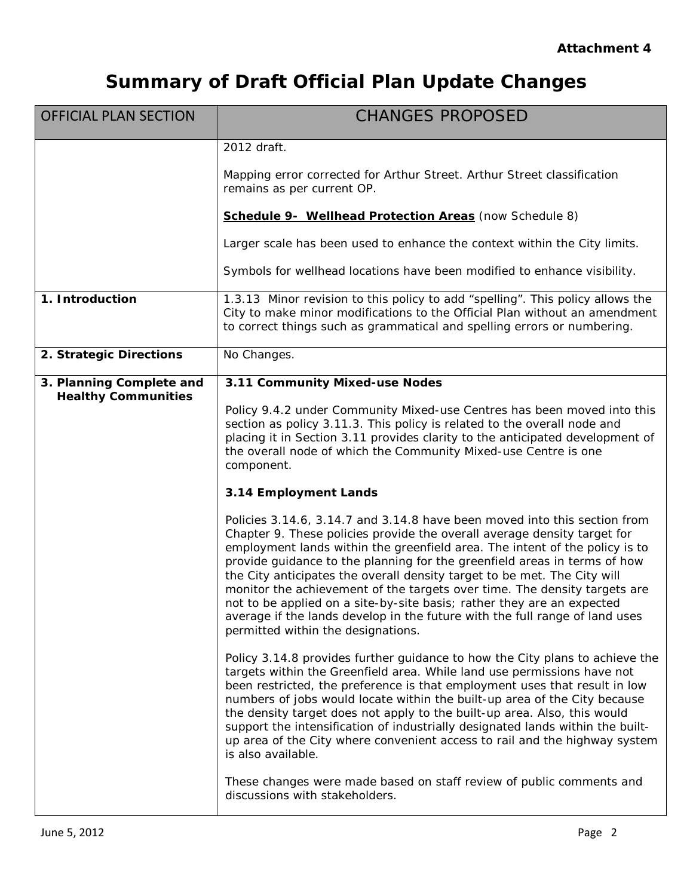| <b>OFFICIAL PLAN SECTION</b>                           | <b>CHANGES PROPOSED</b>                                                                                                                                                                                                                                                                                                                                                                                                                                                                                                                                                                                                                                                   |
|--------------------------------------------------------|---------------------------------------------------------------------------------------------------------------------------------------------------------------------------------------------------------------------------------------------------------------------------------------------------------------------------------------------------------------------------------------------------------------------------------------------------------------------------------------------------------------------------------------------------------------------------------------------------------------------------------------------------------------------------|
|                                                        | 2012 draft.                                                                                                                                                                                                                                                                                                                                                                                                                                                                                                                                                                                                                                                               |
|                                                        | Mapping error corrected for Arthur Street. Arthur Street classification<br>remains as per current OP.                                                                                                                                                                                                                                                                                                                                                                                                                                                                                                                                                                     |
|                                                        | Schedule 9- Wellhead Protection Areas (now Schedule 8)                                                                                                                                                                                                                                                                                                                                                                                                                                                                                                                                                                                                                    |
|                                                        | Larger scale has been used to enhance the context within the City limits.                                                                                                                                                                                                                                                                                                                                                                                                                                                                                                                                                                                                 |
|                                                        | Symbols for wellhead locations have been modified to enhance visibility.                                                                                                                                                                                                                                                                                                                                                                                                                                                                                                                                                                                                  |
| 1. Introduction                                        | 1.3.13 Minor revision to this policy to add "spelling". This policy allows the<br>City to make minor modifications to the Official Plan without an amendment<br>to correct things such as grammatical and spelling errors or numbering.                                                                                                                                                                                                                                                                                                                                                                                                                                   |
| 2. Strategic Directions                                | No Changes.                                                                                                                                                                                                                                                                                                                                                                                                                                                                                                                                                                                                                                                               |
| 3. Planning Complete and<br><b>Healthy Communities</b> | 3.11 Community Mixed-use Nodes                                                                                                                                                                                                                                                                                                                                                                                                                                                                                                                                                                                                                                            |
|                                                        | Policy 9.4.2 under Community Mixed-use Centres has been moved into this<br>section as policy 3.11.3. This policy is related to the overall node and<br>placing it in Section 3.11 provides clarity to the anticipated development of<br>the overall node of which the Community Mixed-use Centre is one<br>component.                                                                                                                                                                                                                                                                                                                                                     |
|                                                        | 3.14 Employment Lands                                                                                                                                                                                                                                                                                                                                                                                                                                                                                                                                                                                                                                                     |
|                                                        | Policies 3.14.6, 3.14.7 and 3.14.8 have been moved into this section from<br>Chapter 9. These policies provide the overall average density target for<br>employment lands within the greenfield area. The intent of the policy is to<br>provide guidance to the planning for the greenfield areas in terms of how<br>the City anticipates the overall density target to be met. The City will<br>monitor the achievement of the targets over time. The density targets are<br>not to be applied on a site-by-site basis; rather they are an expected<br>average if the lands develop in the future with the full range of land uses<br>permitted within the designations. |
|                                                        | Policy 3.14.8 provides further guidance to how the City plans to achieve the<br>targets within the Greenfield area. While land use permissions have not<br>been restricted, the preference is that employment uses that result in low<br>numbers of jobs would locate within the built-up area of the City because<br>the density target does not apply to the built-up area. Also, this would<br>support the intensification of industrially designated lands within the built-<br>up area of the City where convenient access to rail and the highway system<br>is also available.                                                                                      |
|                                                        | These changes were made based on staff review of public comments and<br>discussions with stakeholders.                                                                                                                                                                                                                                                                                                                                                                                                                                                                                                                                                                    |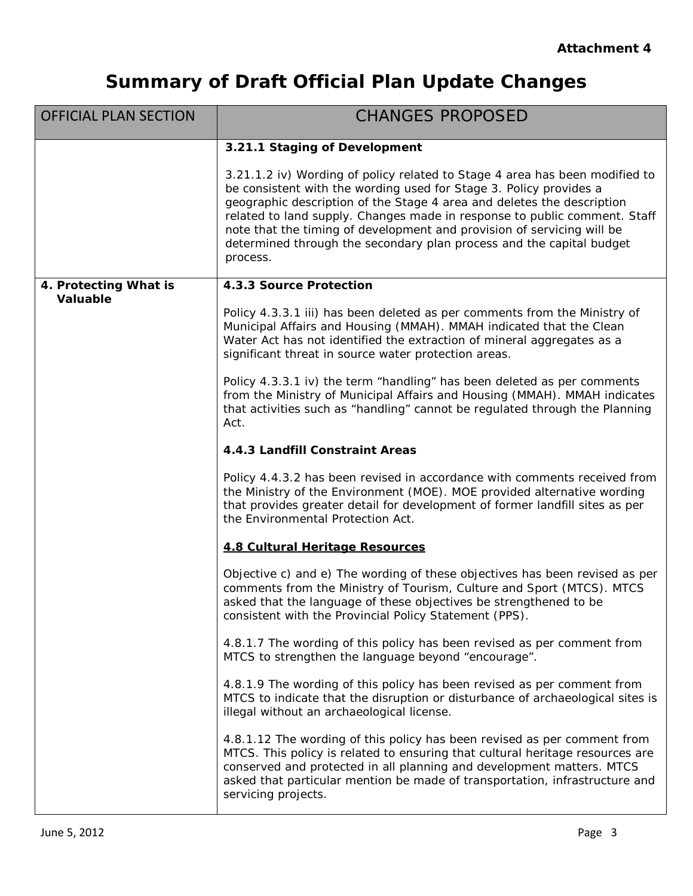| <b>OFFICIAL PLAN SECTION</b> | <b>CHANGES PROPOSED</b>                                                                                                                                                                                                                                                                                                                                                                                                                                                |
|------------------------------|------------------------------------------------------------------------------------------------------------------------------------------------------------------------------------------------------------------------------------------------------------------------------------------------------------------------------------------------------------------------------------------------------------------------------------------------------------------------|
|                              | 3.21.1 Staging of Development                                                                                                                                                                                                                                                                                                                                                                                                                                          |
|                              | 3.21.1.2 iv) Wording of policy related to Stage 4 area has been modified to<br>be consistent with the wording used for Stage 3. Policy provides a<br>geographic description of the Stage 4 area and deletes the description<br>related to land supply. Changes made in response to public comment. Staff<br>note that the timing of development and provision of servicing will be<br>determined through the secondary plan process and the capital budget<br>process. |
| 4. Protecting What is        | 4.3.3 Source Protection                                                                                                                                                                                                                                                                                                                                                                                                                                                |
| <b>Valuable</b>              | Policy 4.3.3.1 iii) has been deleted as per comments from the Ministry of<br>Municipal Affairs and Housing (MMAH). MMAH indicated that the Clean<br>Water Act has not identified the extraction of mineral aggregates as a<br>significant threat in source water protection areas.                                                                                                                                                                                     |
|                              | Policy 4.3.3.1 iv) the term "handling" has been deleted as per comments<br>from the Ministry of Municipal Affairs and Housing (MMAH). MMAH indicates<br>that activities such as "handling" cannot be regulated through the Planning<br>Act.                                                                                                                                                                                                                            |
|                              | 4.4.3 Landfill Constraint Areas                                                                                                                                                                                                                                                                                                                                                                                                                                        |
|                              | Policy 4.4.3.2 has been revised in accordance with comments received from<br>the Ministry of the Environment (MOE). MOE provided alternative wording<br>that provides greater detail for development of former landfill sites as per<br>the Environmental Protection Act.                                                                                                                                                                                              |
|                              | 4.8 Cultural Heritage Resources                                                                                                                                                                                                                                                                                                                                                                                                                                        |
|                              | Objective c) and e) The wording of these objectives has been revised as per<br>comments from the Ministry of Tourism, Culture and Sport (MTCS). MTCS<br>asked that the language of these objectives be strengthened to be<br>consistent with the Provincial Policy Statement (PPS).                                                                                                                                                                                    |
|                              | 4.8.1.7 The wording of this policy has been revised as per comment from<br>MTCS to strengthen the language beyond "encourage".                                                                                                                                                                                                                                                                                                                                         |
|                              | 4.8.1.9 The wording of this policy has been revised as per comment from<br>MTCS to indicate that the disruption or disturbance of archaeological sites is<br>illegal without an archaeological license.                                                                                                                                                                                                                                                                |
|                              | 4.8.1.12 The wording of this policy has been revised as per comment from<br>MTCS. This policy is related to ensuring that cultural heritage resources are<br>conserved and protected in all planning and development matters. MTCS<br>asked that particular mention be made of transportation, infrastructure and<br>servicing projects.                                                                                                                               |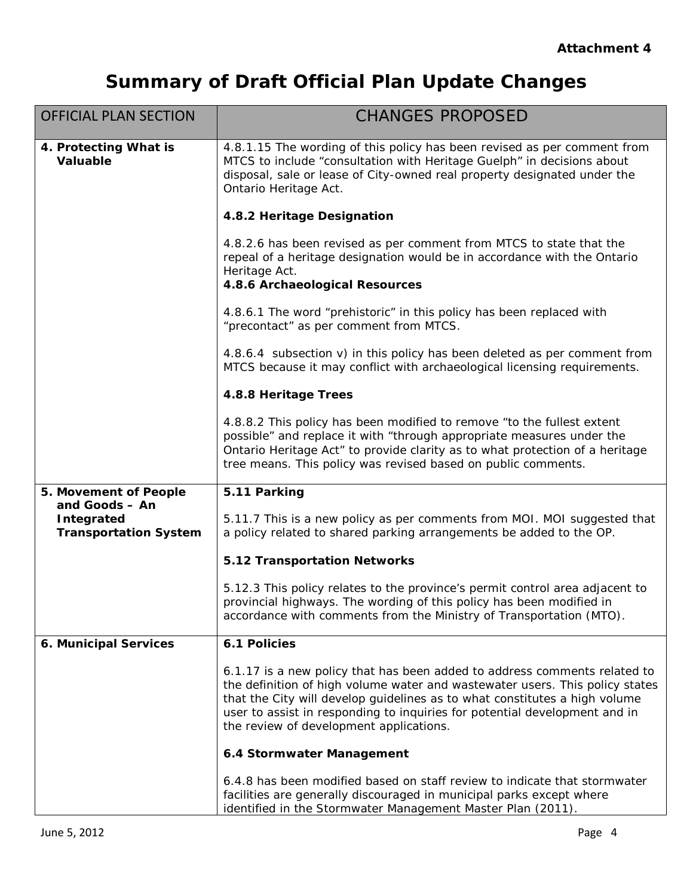| <b>OFFICIAL PLAN SECTION</b>                                        | <b>CHANGES PROPOSED</b>                                                                                                                                                                                                                                                                                                                                          |
|---------------------------------------------------------------------|------------------------------------------------------------------------------------------------------------------------------------------------------------------------------------------------------------------------------------------------------------------------------------------------------------------------------------------------------------------|
| 4. Protecting What is<br><b>Valuable</b>                            | 4.8.1.15 The wording of this policy has been revised as per comment from<br>MTCS to include "consultation with Heritage Guelph" in decisions about<br>disposal, sale or lease of City-owned real property designated under the<br>Ontario Heritage Act.                                                                                                          |
|                                                                     | 4.8.2 Heritage Designation                                                                                                                                                                                                                                                                                                                                       |
|                                                                     | 4.8.2.6 has been revised as per comment from MTCS to state that the<br>repeal of a heritage designation would be in accordance with the Ontario<br>Heritage Act.<br>4.8.6 Archaeological Resources                                                                                                                                                               |
|                                                                     | 4.8.6.1 The word "prehistoric" in this policy has been replaced with<br>"precontact" as per comment from MTCS.                                                                                                                                                                                                                                                   |
|                                                                     | 4.8.6.4 subsection v) in this policy has been deleted as per comment from<br>MTCS because it may conflict with archaeological licensing requirements.                                                                                                                                                                                                            |
|                                                                     | 4.8.8 Heritage Trees                                                                                                                                                                                                                                                                                                                                             |
|                                                                     | 4.8.8.2 This policy has been modified to remove "to the fullest extent<br>possible" and replace it with "through appropriate measures under the<br>Ontario Heritage Act" to provide clarity as to what protection of a heritage<br>tree means. This policy was revised based on public comments.                                                                 |
| 5. Movement of People                                               | 5.11 Parking                                                                                                                                                                                                                                                                                                                                                     |
| and Goods - An<br><b>Integrated</b><br><b>Transportation System</b> | 5.11.7 This is a new policy as per comments from MOI. MOI suggested that<br>a policy related to shared parking arrangements be added to the OP.                                                                                                                                                                                                                  |
|                                                                     | <b>5.12 Transportation Networks</b>                                                                                                                                                                                                                                                                                                                              |
|                                                                     | 5.12.3 This policy relates to the province's permit control area adjacent to<br>provincial highways. The wording of this policy has been modified in<br>accordance with comments from the Ministry of Transportation (MTO).                                                                                                                                      |
| 6. Municipal Services                                               | 6.1 Policies                                                                                                                                                                                                                                                                                                                                                     |
|                                                                     | 6.1.17 is a new policy that has been added to address comments related to<br>the definition of high volume water and wastewater users. This policy states<br>that the City will develop guidelines as to what constitutes a high volume<br>user to assist in responding to inquiries for potential development and in<br>the review of development applications. |
|                                                                     | 6.4 Stormwater Management                                                                                                                                                                                                                                                                                                                                        |
|                                                                     | 6.4.8 has been modified based on staff review to indicate that stormwater<br>facilities are generally discouraged in municipal parks except where<br>identified in the Stormwater Management Master Plan (2011).                                                                                                                                                 |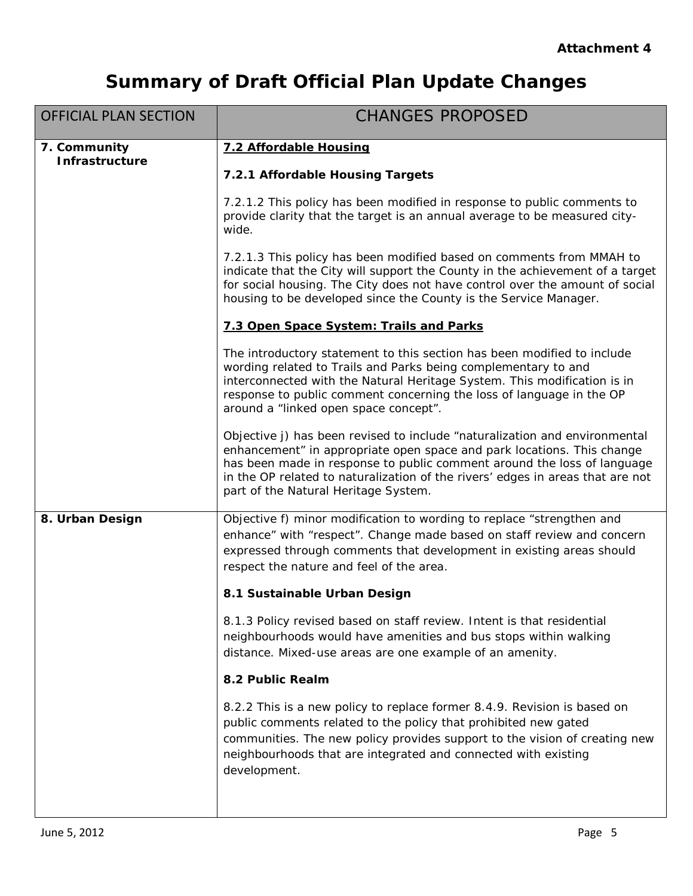| <b>OFFICIAL PLAN SECTION</b>          | <b>CHANGES PROPOSED</b>                                                                                                                                                                                                                                                                                                                                   |
|---------------------------------------|-----------------------------------------------------------------------------------------------------------------------------------------------------------------------------------------------------------------------------------------------------------------------------------------------------------------------------------------------------------|
| 7. Community<br><b>Infrastructure</b> | 7.2 Affordable Housing                                                                                                                                                                                                                                                                                                                                    |
|                                       | 7.2.1 Affordable Housing Targets                                                                                                                                                                                                                                                                                                                          |
|                                       | 7.2.1.2 This policy has been modified in response to public comments to<br>provide clarity that the target is an annual average to be measured city-<br>wide.                                                                                                                                                                                             |
|                                       | 7.2.1.3 This policy has been modified based on comments from MMAH to<br>indicate that the City will support the County in the achievement of a target<br>for social housing. The City does not have control over the amount of social<br>housing to be developed since the County is the Service Manager.                                                 |
|                                       | 7.3 Open Space System: Trails and Parks                                                                                                                                                                                                                                                                                                                   |
|                                       | The introductory statement to this section has been modified to include<br>wording related to Trails and Parks being complementary to and<br>interconnected with the Natural Heritage System. This modification is in<br>response to public comment concerning the loss of language in the OP<br>around a "linked open space concept".                    |
|                                       | Objective j) has been revised to include "naturalization and environmental<br>enhancement" in appropriate open space and park locations. This change<br>has been made in response to public comment around the loss of language<br>in the OP related to naturalization of the rivers' edges in areas that are not<br>part of the Natural Heritage System. |
| 8. Urban Design                       | Objective f) minor modification to wording to replace "strengthen and<br>enhance" with "respect". Change made based on staff review and concern<br>expressed through comments that development in existing areas should<br>respect the nature and feel of the area.                                                                                       |
|                                       | 8.1 Sustainable Urban Design                                                                                                                                                                                                                                                                                                                              |
|                                       | 8.1.3 Policy revised based on staff review. Intent is that residential<br>neighbourhoods would have amenities and bus stops within walking<br>distance. Mixed-use areas are one example of an amenity.                                                                                                                                                    |
|                                       | 8.2 Public Realm                                                                                                                                                                                                                                                                                                                                          |
|                                       | 8.2.2 This is a new policy to replace former 8.4.9. Revision is based on<br>public comments related to the policy that prohibited new gated<br>communities. The new policy provides support to the vision of creating new<br>neighbourhoods that are integrated and connected with existing<br>development.                                               |
|                                       |                                                                                                                                                                                                                                                                                                                                                           |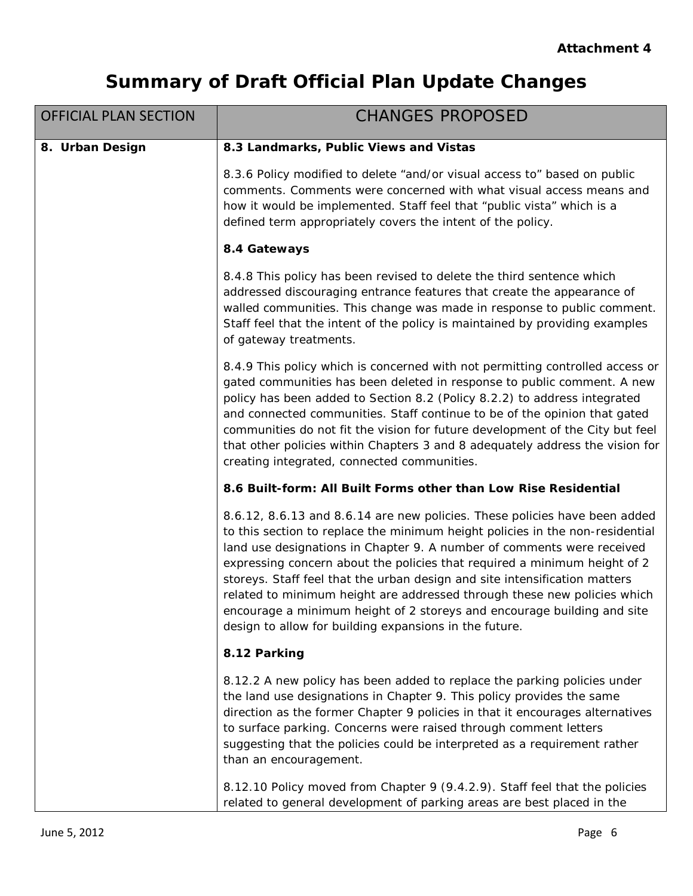| <b>OFFICIAL PLAN SECTION</b> | <b>CHANGES PROPOSED</b>                                                                                                                                                                                                                                                                                                                                                                                                                                                                                                                                                                                           |
|------------------------------|-------------------------------------------------------------------------------------------------------------------------------------------------------------------------------------------------------------------------------------------------------------------------------------------------------------------------------------------------------------------------------------------------------------------------------------------------------------------------------------------------------------------------------------------------------------------------------------------------------------------|
| 8. Urban Design              | 8.3 Landmarks, Public Views and Vistas                                                                                                                                                                                                                                                                                                                                                                                                                                                                                                                                                                            |
|                              | 8.3.6 Policy modified to delete "and/or visual access to" based on public<br>comments. Comments were concerned with what visual access means and<br>how it would be implemented. Staff feel that "public vista" which is a<br>defined term appropriately covers the intent of the policy.                                                                                                                                                                                                                                                                                                                         |
|                              | 8.4 Gateways                                                                                                                                                                                                                                                                                                                                                                                                                                                                                                                                                                                                      |
|                              | 8.4.8 This policy has been revised to delete the third sentence which<br>addressed discouraging entrance features that create the appearance of<br>walled communities. This change was made in response to public comment.<br>Staff feel that the intent of the policy is maintained by providing examples<br>of gateway treatments.                                                                                                                                                                                                                                                                              |
|                              | 8.4.9 This policy which is concerned with not permitting controlled access or<br>gated communities has been deleted in response to public comment. A new<br>policy has been added to Section 8.2 (Policy 8.2.2) to address integrated<br>and connected communities. Staff continue to be of the opinion that gated<br>communities do not fit the vision for future development of the City but feel<br>that other policies within Chapters 3 and 8 adequately address the vision for<br>creating integrated, connected communities.                                                                               |
|                              | 8.6 Built-form: All Built Forms other than Low Rise Residential                                                                                                                                                                                                                                                                                                                                                                                                                                                                                                                                                   |
|                              | 8.6.12, 8.6.13 and 8.6.14 are new policies. These policies have been added<br>to this section to replace the minimum height policies in the non-residential<br>land use designations in Chapter 9. A number of comments were received<br>expressing concern about the policies that required a minimum height of 2<br>storeys. Staff feel that the urban design and site intensification matters<br>related to minimum height are addressed through these new policies which<br>encourage a minimum height of 2 storeys and encourage building and site<br>design to allow for building expansions in the future. |
|                              | 8.12 Parking                                                                                                                                                                                                                                                                                                                                                                                                                                                                                                                                                                                                      |
|                              | 8.12.2 A new policy has been added to replace the parking policies under<br>the land use designations in Chapter 9. This policy provides the same<br>direction as the former Chapter 9 policies in that it encourages alternatives<br>to surface parking. Concerns were raised through comment letters<br>suggesting that the policies could be interpreted as a requirement rather<br>than an encouragement.                                                                                                                                                                                                     |
|                              | 8.12.10 Policy moved from Chapter 9 (9.4.2.9). Staff feel that the policies<br>related to general development of parking areas are best placed in the                                                                                                                                                                                                                                                                                                                                                                                                                                                             |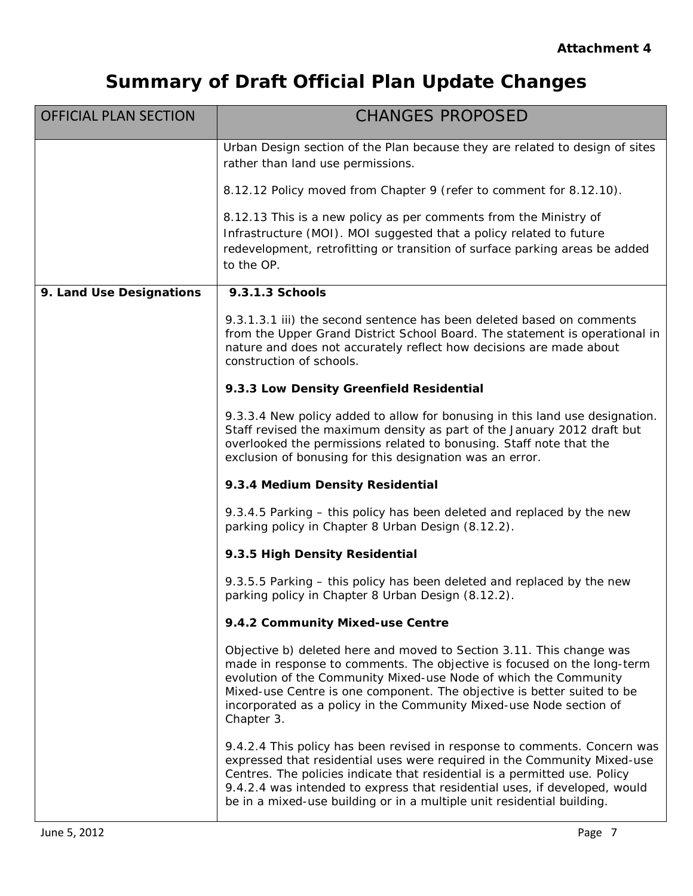| <b>OFFICIAL PLAN SECTION</b> | <b>CHANGES PROPOSED</b>                                                                                                                                                                                                                                                                                                                                                                     |
|------------------------------|---------------------------------------------------------------------------------------------------------------------------------------------------------------------------------------------------------------------------------------------------------------------------------------------------------------------------------------------------------------------------------------------|
|                              | Urban Design section of the Plan because they are related to design of sites<br>rather than land use permissions.                                                                                                                                                                                                                                                                           |
|                              | 8.12.12 Policy moved from Chapter 9 (refer to comment for 8.12.10).                                                                                                                                                                                                                                                                                                                         |
|                              | 8.12.13 This is a new policy as per comments from the Ministry of<br>Infrastructure (MOI). MOI suggested that a policy related to future<br>redevelopment, retrofitting or transition of surface parking areas be added<br>to the OP.                                                                                                                                                       |
| 9. Land Use Designations     | 9.3.1.3 Schools                                                                                                                                                                                                                                                                                                                                                                             |
|                              | 9.3.1.3.1 iii) the second sentence has been deleted based on comments<br>from the Upper Grand District School Board. The statement is operational in<br>nature and does not accurately reflect how decisions are made about<br>construction of schools.                                                                                                                                     |
|                              | 9.3.3 Low Density Greenfield Residential                                                                                                                                                                                                                                                                                                                                                    |
|                              | 9.3.3.4 New policy added to allow for bonusing in this land use designation.<br>Staff revised the maximum density as part of the January 2012 draft but<br>overlooked the permissions related to bonusing. Staff note that the<br>exclusion of bonusing for this designation was an error.                                                                                                  |
|                              | 9.3.4 Medium Density Residential                                                                                                                                                                                                                                                                                                                                                            |
|                              | 9.3.4.5 Parking – this policy has been deleted and replaced by the new<br>parking policy in Chapter 8 Urban Design (8.12.2).                                                                                                                                                                                                                                                                |
|                              | 9.3.5 High Density Residential                                                                                                                                                                                                                                                                                                                                                              |
|                              | 9.3.5.5 Parking – this policy has been deleted and replaced by the new<br>parking policy in Chapter 8 Urban Design (8.12.2).                                                                                                                                                                                                                                                                |
|                              | 9.4.2 Community Mixed-use Centre                                                                                                                                                                                                                                                                                                                                                            |
|                              | Objective b) deleted here and moved to Section 3.11. This change was<br>made in response to comments. The objective is focused on the long-term<br>evolution of the Community Mixed-use Node of which the Community<br>Mixed-use Centre is one component. The objective is better suited to be<br>incorporated as a policy in the Community Mixed-use Node section of<br>Chapter 3.         |
|                              | 9.4.2.4 This policy has been revised in response to comments. Concern was<br>expressed that residential uses were required in the Community Mixed-use<br>Centres. The policies indicate that residential is a permitted use. Policy<br>9.4.2.4 was intended to express that residential uses, if developed, would<br>be in a mixed-use building or in a multiple unit residential building. |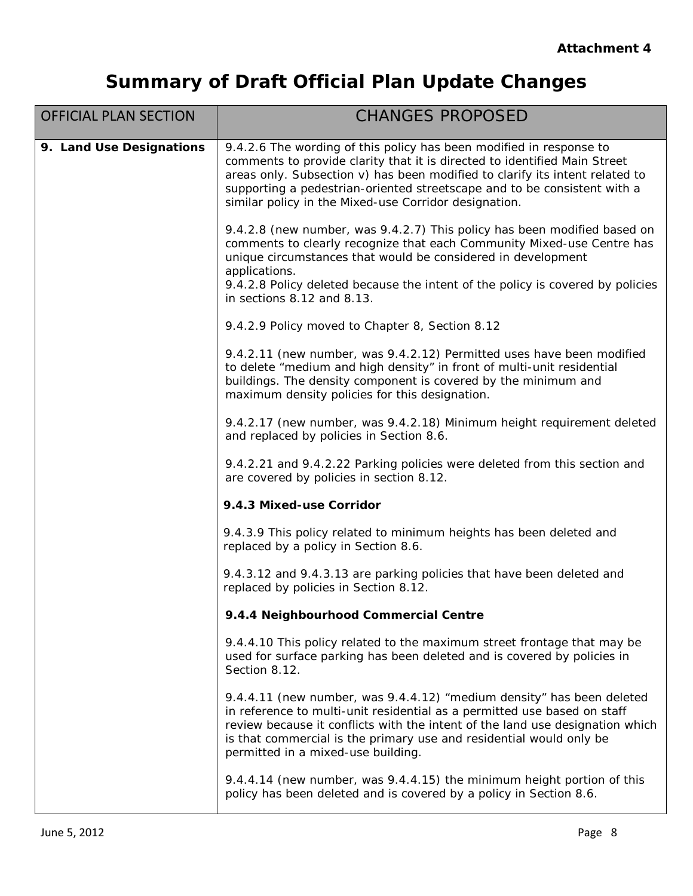| <b>OFFICIAL PLAN SECTION</b> | <b>CHANGES PROPOSED</b>                                                                                                                                                                                                                                                                                                                                               |
|------------------------------|-----------------------------------------------------------------------------------------------------------------------------------------------------------------------------------------------------------------------------------------------------------------------------------------------------------------------------------------------------------------------|
| 9. Land Use Designations     | 9.4.2.6 The wording of this policy has been modified in response to<br>comments to provide clarity that it is directed to identified Main Street<br>areas only. Subsection v) has been modified to clarify its intent related to<br>supporting a pedestrian-oriented streetscape and to be consistent with a<br>similar policy in the Mixed-use Corridor designation. |
|                              | 9.4.2.8 (new number, was 9.4.2.7) This policy has been modified based on<br>comments to clearly recognize that each Community Mixed-use Centre has<br>unique circumstances that would be considered in development<br>applications.<br>9.4.2.8 Policy deleted because the intent of the policy is covered by policies<br>in sections 8.12 and 8.13.                   |
|                              | 9.4.2.9 Policy moved to Chapter 8, Section 8.12                                                                                                                                                                                                                                                                                                                       |
|                              | 9.4.2.11 (new number, was 9.4.2.12) Permitted uses have been modified<br>to delete "medium and high density" in front of multi-unit residential<br>buildings. The density component is covered by the minimum and<br>maximum density policies for this designation.                                                                                                   |
|                              | 9.4.2.17 (new number, was 9.4.2.18) Minimum height requirement deleted<br>and replaced by policies in Section 8.6.                                                                                                                                                                                                                                                    |
|                              | 9.4.2.21 and 9.4.2.22 Parking policies were deleted from this section and<br>are covered by policies in section 8.12.                                                                                                                                                                                                                                                 |
|                              | 9.4.3 Mixed-use Corridor                                                                                                                                                                                                                                                                                                                                              |
|                              | 9.4.3.9 This policy related to minimum heights has been deleted and<br>replaced by a policy in Section 8.6.                                                                                                                                                                                                                                                           |
|                              | 9.4.3.12 and 9.4.3.13 are parking policies that have been deleted and<br>replaced by policies in Section 8.12.                                                                                                                                                                                                                                                        |
|                              | 9.4.4 Neighbourhood Commercial Centre                                                                                                                                                                                                                                                                                                                                 |
|                              | 9.4.4.10 This policy related to the maximum street frontage that may be<br>used for surface parking has been deleted and is covered by policies in<br>Section 8.12.                                                                                                                                                                                                   |
|                              | 9.4.4.11 (new number, was 9.4.4.12) "medium density" has been deleted<br>in reference to multi-unit residential as a permitted use based on staff<br>review because it conflicts with the intent of the land use designation which<br>is that commercial is the primary use and residential would only be<br>permitted in a mixed-use building.                       |
|                              | 9.4.4.14 (new number, was 9.4.4.15) the minimum height portion of this<br>policy has been deleted and is covered by a policy in Section 8.6.                                                                                                                                                                                                                          |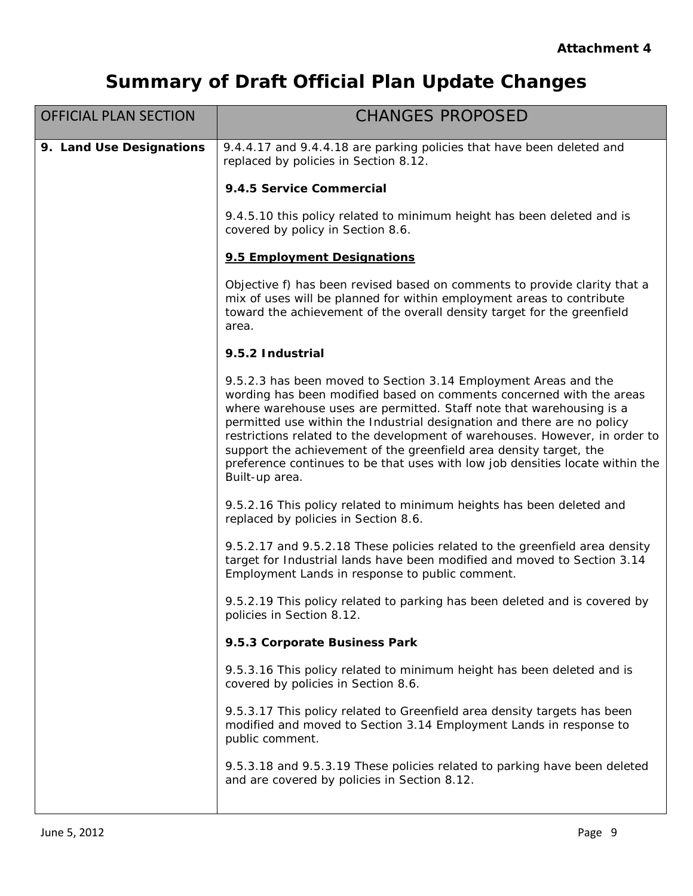| <b>OFFICIAL PLAN SECTION</b> | <b>CHANGES PROPOSED</b>                                                                                                                                                                                                                                                                                                                                                                                                                                                                                                                            |
|------------------------------|----------------------------------------------------------------------------------------------------------------------------------------------------------------------------------------------------------------------------------------------------------------------------------------------------------------------------------------------------------------------------------------------------------------------------------------------------------------------------------------------------------------------------------------------------|
| 9. Land Use Designations     | 9.4.4.17 and 9.4.4.18 are parking policies that have been deleted and<br>replaced by policies in Section 8.12.                                                                                                                                                                                                                                                                                                                                                                                                                                     |
|                              | 9.4.5 Service Commercial                                                                                                                                                                                                                                                                                                                                                                                                                                                                                                                           |
|                              | 9.4.5.10 this policy related to minimum height has been deleted and is<br>covered by policy in Section 8.6.                                                                                                                                                                                                                                                                                                                                                                                                                                        |
|                              | 9.5 Employment Designations                                                                                                                                                                                                                                                                                                                                                                                                                                                                                                                        |
|                              | Objective f) has been revised based on comments to provide clarity that a<br>mix of uses will be planned for within employment areas to contribute<br>toward the achievement of the overall density target for the greenfield<br>area.                                                                                                                                                                                                                                                                                                             |
|                              | 9.5.2 Industrial                                                                                                                                                                                                                                                                                                                                                                                                                                                                                                                                   |
|                              | 9.5.2.3 has been moved to Section 3.14 Employment Areas and the<br>wording has been modified based on comments concerned with the areas<br>where warehouse uses are permitted. Staff note that warehousing is a<br>permitted use within the Industrial designation and there are no policy<br>restrictions related to the development of warehouses. However, in order to<br>support the achievement of the greenfield area density target, the<br>preference continues to be that uses with low job densities locate within the<br>Built-up area. |
|                              | 9.5.2.16 This policy related to minimum heights has been deleted and<br>replaced by policies in Section 8.6.                                                                                                                                                                                                                                                                                                                                                                                                                                       |
|                              | 9.5.2.17 and 9.5.2.18 These policies related to the greenfield area density<br>target for Industrial lands have been modified and moved to Section 3.14<br>Employment Lands in response to public comment.                                                                                                                                                                                                                                                                                                                                         |
|                              | 9.5.2.19 This policy related to parking has been deleted and is covered by<br>policies in Section 8.12.                                                                                                                                                                                                                                                                                                                                                                                                                                            |
|                              | 9.5.3 Corporate Business Park                                                                                                                                                                                                                                                                                                                                                                                                                                                                                                                      |
|                              | 9.5.3.16 This policy related to minimum height has been deleted and is<br>covered by policies in Section 8.6.                                                                                                                                                                                                                                                                                                                                                                                                                                      |
|                              | 9.5.3.17 This policy related to Greenfield area density targets has been<br>modified and moved to Section 3.14 Employment Lands in response to<br>public comment.                                                                                                                                                                                                                                                                                                                                                                                  |
|                              | 9.5.3.18 and 9.5.3.19 These policies related to parking have been deleted<br>and are covered by policies in Section 8.12.                                                                                                                                                                                                                                                                                                                                                                                                                          |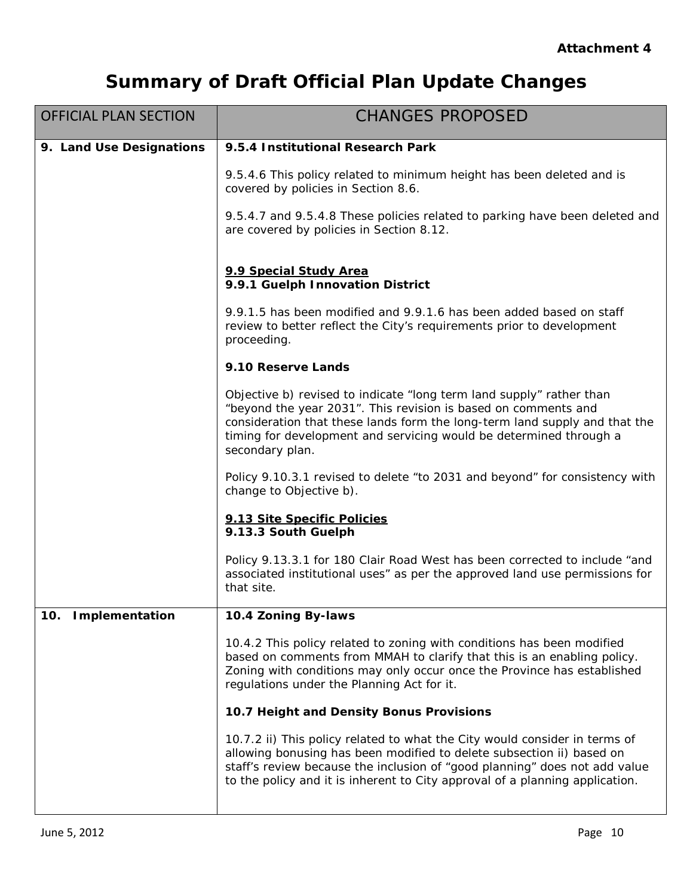| <b>OFFICIAL PLAN SECTION</b> | <b>CHANGES PROPOSED</b>                                                                                                                                                                                                                                                                                           |
|------------------------------|-------------------------------------------------------------------------------------------------------------------------------------------------------------------------------------------------------------------------------------------------------------------------------------------------------------------|
| 9. Land Use Designations     | 9.5.4 Institutional Research Park                                                                                                                                                                                                                                                                                 |
|                              | 9.5.4.6 This policy related to minimum height has been deleted and is<br>covered by policies in Section 8.6.                                                                                                                                                                                                      |
|                              | 9.5.4.7 and 9.5.4.8 These policies related to parking have been deleted and<br>are covered by policies in Section 8.12.                                                                                                                                                                                           |
|                              | 9.9 Special Study Area<br>9.9.1 Guelph Innovation District                                                                                                                                                                                                                                                        |
|                              | 9.9.1.5 has been modified and 9.9.1.6 has been added based on staff<br>review to better reflect the City's requirements prior to development<br>proceeding.                                                                                                                                                       |
|                              | 9.10 Reserve Lands                                                                                                                                                                                                                                                                                                |
|                              | Objective b) revised to indicate "long term land supply" rather than<br>"beyond the year 2031". This revision is based on comments and<br>consideration that these lands form the long-term land supply and that the<br>timing for development and servicing would be determined through a<br>secondary plan.     |
|                              | Policy 9.10.3.1 revised to delete "to 2031 and beyond" for consistency with<br>change to Objective b).                                                                                                                                                                                                            |
|                              | 9.13 Site Specific Policies<br>9.13.3 South Guelph                                                                                                                                                                                                                                                                |
|                              | Policy 9.13.3.1 for 180 Clair Road West has been corrected to include "and<br>associated institutional uses" as per the approved land use permissions for<br>that site.                                                                                                                                           |
| 10. Implementation           | 10.4 Zoning By-laws                                                                                                                                                                                                                                                                                               |
|                              | 10.4.2 This policy related to zoning with conditions has been modified<br>based on comments from MMAH to clarify that this is an enabling policy.<br>Zoning with conditions may only occur once the Province has established<br>regulations under the Planning Act for it.                                        |
|                              | 10.7 Height and Density Bonus Provisions                                                                                                                                                                                                                                                                          |
|                              | 10.7.2 ii) This policy related to what the City would consider in terms of<br>allowing bonusing has been modified to delete subsection ii) based on<br>staff's review because the inclusion of "good planning" does not add value<br>to the policy and it is inherent to City approval of a planning application. |